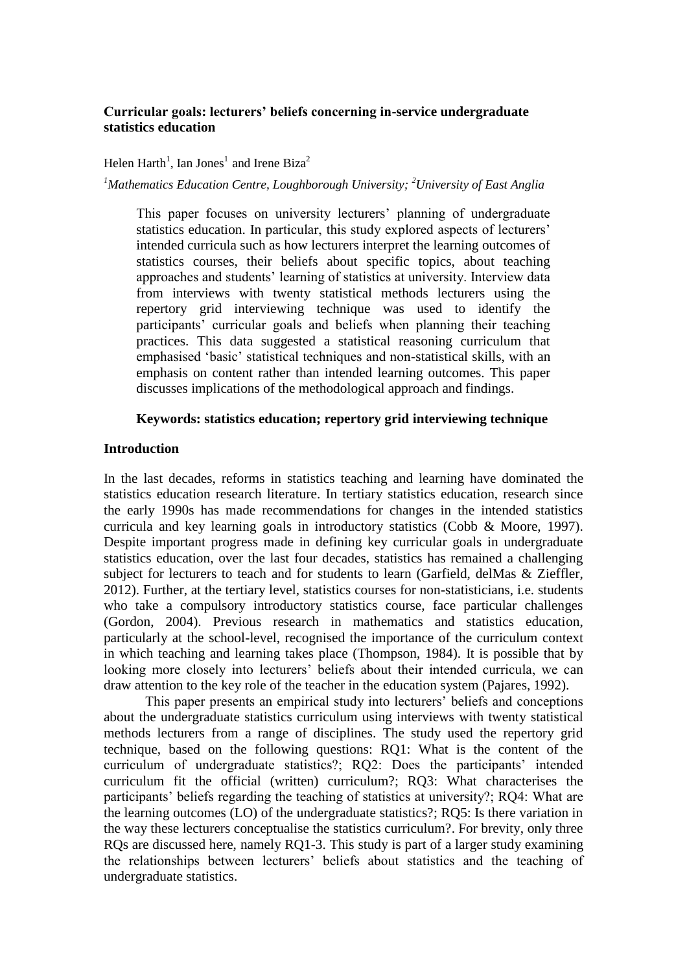# **Curricular goals: lecturers' beliefs concerning in-service undergraduate statistics education**

### Helen Harth<sup>1</sup>, Ian Jones<sup>1</sup> and Irene Biza<sup>2</sup>

### *<sup>1</sup>Mathematics Education Centre, Loughborough University; <sup>2</sup>University of East Anglia*

This paper focuses on university lecturers' planning of undergraduate statistics education. In particular, this study explored aspects of lecturers' intended curricula such as how lecturers interpret the learning outcomes of statistics courses, their beliefs about specific topics, about teaching approaches and students' learning of statistics at university. Interview data from interviews with twenty statistical methods lecturers using the repertory grid interviewing technique was used to identify the participants' curricular goals and beliefs when planning their teaching practices. This data suggested a statistical reasoning curriculum that emphasised 'basic' statistical techniques and non-statistical skills, with an emphasis on content rather than intended learning outcomes. This paper discusses implications of the methodological approach and findings.

### **Keywords: statistics education; repertory grid interviewing technique**

### **Introduction**

In the last decades, reforms in statistics teaching and learning have dominated the statistics education research literature. In tertiary statistics education, research since the early 1990s has made recommendations for changes in the intended statistics curricula and key learning goals in introductory statistics (Cobb & Moore, 1997). Despite important progress made in defining key curricular goals in undergraduate statistics education, over the last four decades, statistics has remained a challenging subject for lecturers to teach and for students to learn (Garfield, delMas & Zieffler, 2012). Further, at the tertiary level, statistics courses for non-statisticians, i.e. students who take a compulsory introductory statistics course, face particular challenges (Gordon, 2004). Previous research in mathematics and statistics education, particularly at the school-level, recognised the importance of the curriculum context in which teaching and learning takes place (Thompson, 1984). It is possible that by looking more closely into lecturers' beliefs about their intended curricula, we can draw attention to the key role of the teacher in the education system (Pajares, 1992).

This paper presents an empirical study into lecturers' beliefs and conceptions about the undergraduate statistics curriculum using interviews with twenty statistical methods lecturers from a range of disciplines. The study used the repertory grid technique, based on the following questions: RQ1: What is the content of the curriculum of undergraduate statistics?; RQ2: Does the participants' intended curriculum fit the official (written) curriculum?; RQ3: What characterises the participants' beliefs regarding the teaching of statistics at university?; RQ4: What are the learning outcomes (LO) of the undergraduate statistics?; RQ5: Is there variation in the way these lecturers conceptualise the statistics curriculum?. For brevity, only three RQs are discussed here, namely RQ1-3. This study is part of a larger study examining the relationships between lecturers' beliefs about statistics and the teaching of undergraduate statistics.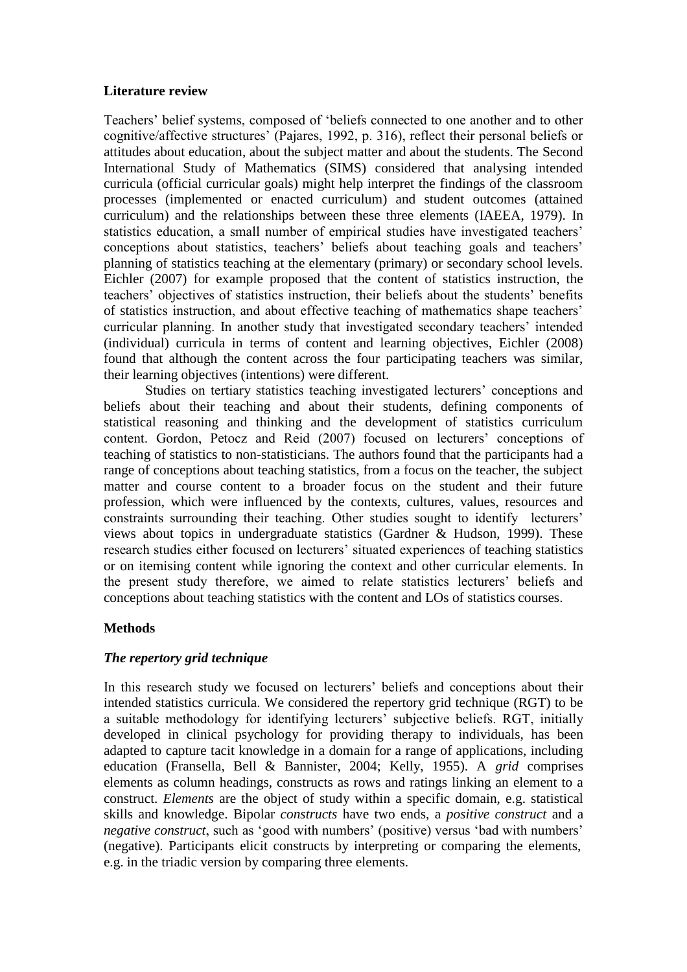## **Literature review**

Teachers' belief systems, composed of 'beliefs connected to one another and to other cognitive/affective structures' (Pajares, 1992, p. 316), reflect their personal beliefs or attitudes about education, about the subject matter and about the students. The Second International Study of Mathematics (SIMS) considered that analysing intended curricula (official curricular goals) might help interpret the findings of the classroom processes (implemented or enacted curriculum) and student outcomes (attained curriculum) and the relationships between these three elements (IAEEA, 1979). In statistics education, a small number of empirical studies have investigated teachers' conceptions about statistics, teachers' beliefs about teaching goals and teachers' planning of statistics teaching at the elementary (primary) or secondary school levels. Eichler (2007) for example proposed that the content of statistics instruction, the teachers' objectives of statistics instruction, their beliefs about the students' benefits of statistics instruction, and about effective teaching of mathematics shape teachers' curricular planning. In another study that investigated secondary teachers' intended (individual) curricula in terms of content and learning objectives, Eichler (2008) found that although the content across the four participating teachers was similar, their learning objectives (intentions) were different.

Studies on tertiary statistics teaching investigated lecturers' conceptions and beliefs about their teaching and about their students, defining components of statistical reasoning and thinking and the development of statistics curriculum content. Gordon, Petocz and Reid (2007) focused on lecturers' conceptions of teaching of statistics to non-statisticians. The authors found that the participants had a range of conceptions about teaching statistics, from a focus on the teacher, the subject matter and course content to a broader focus on the student and their future profession, which were influenced by the contexts, cultures, values, resources and constraints surrounding their teaching. Other studies sought to identify lecturers' views about topics in undergraduate statistics (Gardner & Hudson, 1999). These research studies either focused on lecturers' situated experiences of teaching statistics or on itemising content while ignoring the context and other curricular elements. In the present study therefore, we aimed to relate statistics lecturers' beliefs and conceptions about teaching statistics with the content and LOs of statistics courses.

## **Methods**

# *The repertory grid technique*

In this research study we focused on lecturers' beliefs and conceptions about their intended statistics curricula. We considered the repertory grid technique (RGT) to be a suitable methodology for identifying lecturers' subjective beliefs. RGT, initially developed in clinical psychology for providing therapy to individuals, has been adapted to capture tacit knowledge in a domain for a range of applications, including education (Fransella, Bell & Bannister, 2004; Kelly, 1955). A *grid* comprises elements as column headings, constructs as rows and ratings linking an element to a construct. *Elements* are the object of study within a specific domain, e.g. statistical skills and knowledge. Bipolar *constructs* have two ends, a *positive construct* and a *negative construct*, such as 'good with numbers' (positive) versus 'bad with numbers' (negative). Participants elicit constructs by interpreting or comparing the elements, e.g. in the triadic version by comparing three elements.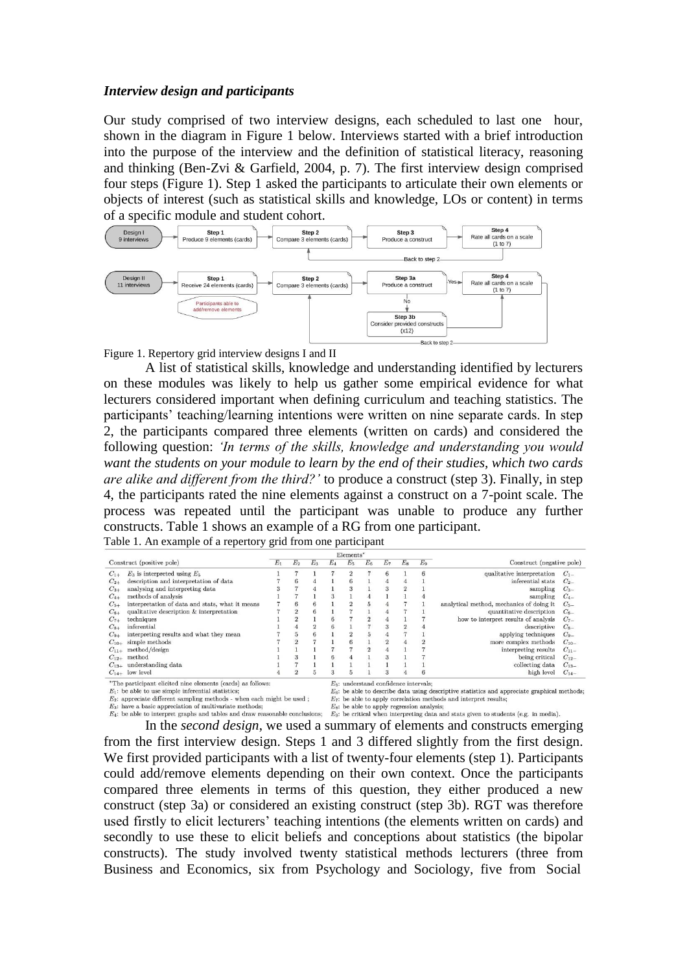#### *Interview design and participants*

Our study comprised of two interview designs, each scheduled to last one hour, shown in the diagram in Figure 1 below. Interviews started with a brief introduction into the purpose of the interview and the definition of statistical literacy, reasoning and thinking (Ben-Zvi & Garfield, 2004, p. 7). The first interview design comprised four steps (Figure 1). Step 1 asked the participants to articulate their own elements or objects of interest (such as statistical skills and knowledge, LOs or content) in terms of a specific module and student cohort.



Figure 1. Repertory grid interview designs I and II

A list of statistical skills, knowledge and understanding identified by lecturers on these modules was likely to help us gather some empirical evidence for what lecturers considered important when defining curriculum and teaching statistics. The participants' teaching/learning intentions were written on nine separate cards. In step 2, the participants compared three elements (written on cards) and considered the following question: *'In terms of the skills, knowledge and understanding you would want the students on your module to learn by the end of their studies, which two cards are alike and different from the third?'* to produce a construct (step 3). Finally, in step 4, the participants rated the nine elements against a construct on a 7-point scale. The process was repeated until the participant was unable to produce any further constructs. Table 1 shows an example of a RG from one participant. Table 1. An example of a repertory grid from one participant

| vertory grid from one participan |  |  |  |  |  |
|----------------------------------|--|--|--|--|--|
|----------------------------------|--|--|--|--|--|

| Elements*                                                                                                            |                                                 |       |                                                                               |  |                                                                                                                                            |                           |   |                |  |   |                                          |           |
|----------------------------------------------------------------------------------------------------------------------|-------------------------------------------------|-------|-------------------------------------------------------------------------------|--|--------------------------------------------------------------------------------------------------------------------------------------------|---------------------------|---|----------------|--|---|------------------------------------------|-----------|
| Construct (positive pole)                                                                                            |                                                 | $E_1$ | E <sub>2</sub><br>E <sub>5</sub><br>$E_8$<br>$E_3$<br>$E_A$<br>$E_6$<br>$E_7$ |  | $E_9$                                                                                                                                      | Construct (negative pole) |   |                |  |   |                                          |           |
| $C_{1+}$                                                                                                             | $E_3$ is interpreted using $E_5$                |       |                                                                               |  |                                                                                                                                            | $\overline{2}$            |   | 6              |  | 6 | qualitative interpretation               | $C_{1-}$  |
| $C_{2+}$                                                                                                             | description and interpretation of data          |       | 6                                                                             |  |                                                                                                                                            | 6                         |   |                |  |   | inferential stats                        | $C_{2-}$  |
| $C_{3+}$                                                                                                             | analysing and interpreting data                 |       |                                                                               |  |                                                                                                                                            |                           |   | 3              |  |   | sampling                                 | $C_{3-}$  |
| $C_{4+}$                                                                                                             | methods of analysis                             |       |                                                                               |  |                                                                                                                                            |                           |   |                |  |   | sampling                                 | $C_{4-}$  |
| $C_{5+}$                                                                                                             | interpretation of data and stats, what it means |       | 6                                                                             |  |                                                                                                                                            |                           | 5 |                |  |   | analytical method, mechanics of doing it | $C_{5-}$  |
| $C_{6+}$                                                                                                             | qualitative description & interpretation        |       | $\overline{2}$                                                                |  |                                                                                                                                            |                           |   |                |  |   | quantitative description                 | $C_{6-}$  |
| $C_{7+}$                                                                                                             | techniques                                      |       |                                                                               |  |                                                                                                                                            |                           |   |                |  |   | how to interpret results of analysis     | $C_{7-}$  |
| $C_{8+}$                                                                                                             | inferential                                     |       |                                                                               |  |                                                                                                                                            |                           |   |                |  |   | descriptive                              | $C_{8-}$  |
| $C_{9+}$                                                                                                             | interpreting results and what they mean         |       | $\ddot{\phantom{a}}$                                                          |  |                                                                                                                                            |                           |   |                |  |   | applying techniques                      | $C_{9-}$  |
| $C_{10+}$                                                                                                            | simple methods                                  |       | $\overline{2}$                                                                |  |                                                                                                                                            | 6                         |   | $\mathfrak{D}$ |  |   | more complex methods                     | $C_{10-}$ |
|                                                                                                                      | $C_{11+}$ method/design                         |       |                                                                               |  |                                                                                                                                            |                           |   |                |  |   | interpreting results                     | $C_{11}$  |
|                                                                                                                      | $C_{12+}$ method                                |       |                                                                               |  | 6                                                                                                                                          |                           |   | з              |  |   | being critical                           | $C_{12-}$ |
|                                                                                                                      | $C_{13+}$ understanding data                    |       |                                                                               |  |                                                                                                                                            |                           |   |                |  |   | collecting data                          | $C_{13-}$ |
|                                                                                                                      | $C_{14+}$ low level                             |       | $\Omega$                                                                      |  |                                                                                                                                            |                           |   | 3              |  |   | high level                               | $C_{14-}$ |
| *The participant elicited nine elements (cards) as follows:<br>$E_1$ : be able to use simple inferential statistics; |                                                 |       |                                                                               |  | $E5$ : understand confidence intervals:<br>$E_6$ : be able to describe data using descriptive statistics and appreciate graphical methods; |                           |   |                |  |   |                                          |           |

 $E_2$ : appreciate different sampling methods - when each might be used;

 $E_7$ : be able to apply correlation methods and interpret results:

 $E_3$ : have a basic appreciation of multivariate methods;<br> $E_5$ : be able to apply outcomes and many  $E_6$ : be able to apply regression analysis;<br> $E_4$ : be able to interpret graphs and tables and draw reasonable conclusion

In the *second design*, we used a summary of elements and constructs emerging from the first interview design. Steps 1 and 3 differed slightly from the first design. We first provided participants with a list of twenty-four elements (step 1). Participants could add/remove elements depending on their own context. Once the participants compared three elements in terms of this question, they either produced a new construct (step 3a) or considered an existing construct (step 3b). RGT was therefore used firstly to elicit lecturers' teaching intentions (the elements written on cards) and secondly to use these to elicit beliefs and conceptions about statistics (the bipolar constructs). The study involved twenty statistical methods lecturers (three from Business and Economics, six from Psychology and Sociology, five from Social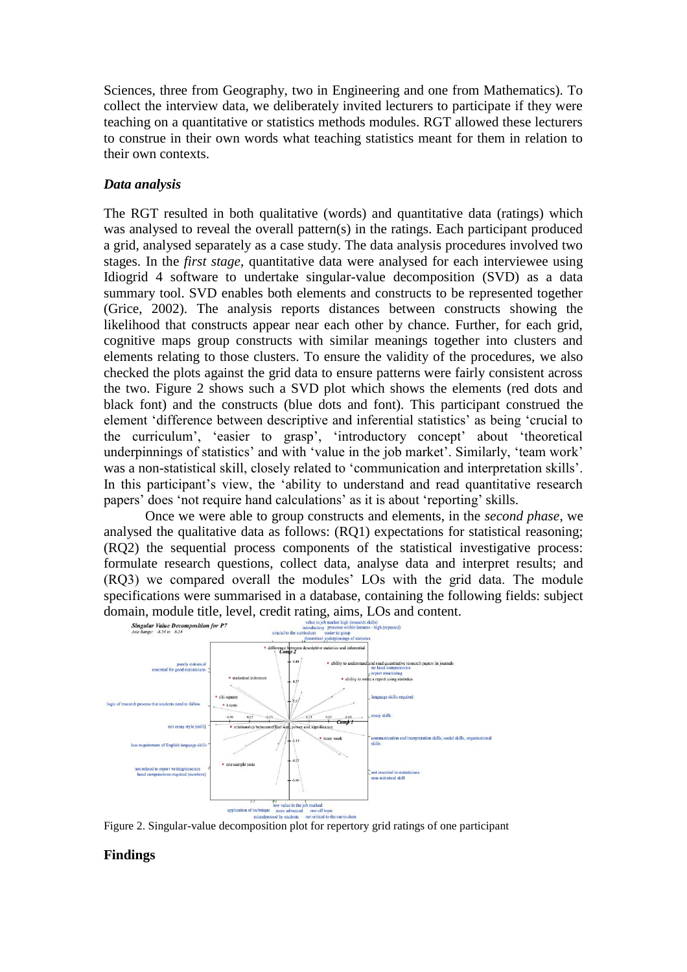Sciences, three from Geography, two in Engineering and one from Mathematics). To collect the interview data, we deliberately invited lecturers to participate if they were teaching on a quantitative or statistics methods modules. RGT allowed these lecturers to construe in their own words what teaching statistics meant for them in relation to their own contexts.

## *Data analysis*

The RGT resulted in both qualitative (words) and quantitative data (ratings) which was analysed to reveal the overall pattern(s) in the ratings. Each participant produced a grid, analysed separately as a case study. The data analysis procedures involved two stages. In the *first stage*, quantitative data were analysed for each interviewee using Idiogrid 4 software to undertake singular-value decomposition (SVD) as a data summary tool. SVD enables both elements and constructs to be represented together (Grice, 2002). The analysis reports distances between constructs showing the likelihood that constructs appear near each other by chance. Further, for each grid, cognitive maps group constructs with similar meanings together into clusters and elements relating to those clusters. To ensure the validity of the procedures, we also checked the plots against the grid data to ensure patterns were fairly consistent across the two. Figure 2 shows such a SVD plot which shows the elements (red dots and black font) and the constructs (blue dots and font). This participant construed the element 'difference between descriptive and inferential statistics' as being 'crucial to the curriculum', 'easier to grasp', 'introductory concept' about 'theoretical underpinnings of statistics' and with 'value in the job market'. Similarly, 'team work' was a non-statistical skill, closely related to 'communication and interpretation skills'. In this participant's view, the 'ability to understand and read quantitative research papers' does 'not require hand calculations' as it is about 'reporting' skills.

Once we were able to group constructs and elements, in the *second phase*, we analysed the qualitative data as follows: (RQ1) expectations for statistical reasoning; (RQ2) the sequential process components of the statistical investigative process: formulate research questions, collect data, analyse data and interpret results; and (RQ3) we compared overall the modules' LOs with the grid data. The module specifications were summarised in a database, containing the following fields: subject domain, module title, level, credit rating, aims, LOs and content.



Figure 2. Singular-value decomposition plot for repertory grid ratings of one participant

## **Findings**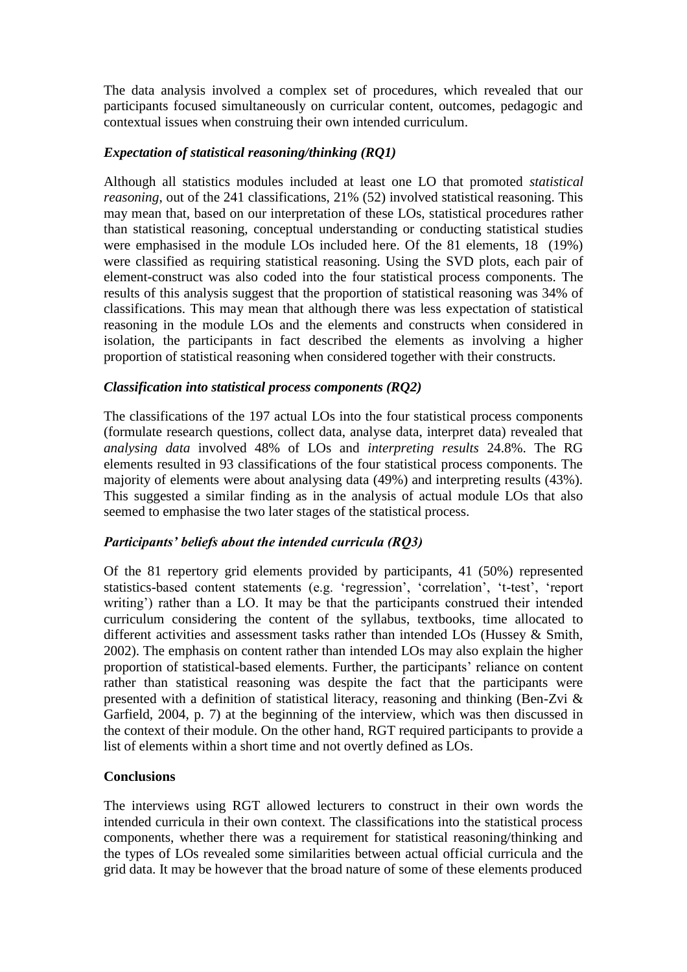The data analysis involved a complex set of procedures, which revealed that our participants focused simultaneously on curricular content, outcomes, pedagogic and contextual issues when construing their own intended curriculum.

## *Expectation of statistical reasoning/thinking (RQ1)*

Although all statistics modules included at least one LO that promoted *statistical reasoning*, out of the 241 classifications, 21% (52) involved statistical reasoning. This may mean that, based on our interpretation of these LOs, statistical procedures rather than statistical reasoning, conceptual understanding or conducting statistical studies were emphasised in the module LOs included here. Of the 81 elements, 18 (19%) were classified as requiring statistical reasoning. Using the SVD plots, each pair of element-construct was also coded into the four statistical process components. The results of this analysis suggest that the proportion of statistical reasoning was 34% of classifications. This may mean that although there was less expectation of statistical reasoning in the module LOs and the elements and constructs when considered in isolation, the participants in fact described the elements as involving a higher proportion of statistical reasoning when considered together with their constructs.

## *Classification into statistical process components (RQ2)*

The classifications of the 197 actual LOs into the four statistical process components (formulate research questions, collect data, analyse data, interpret data) revealed that *analysing data* involved 48% of LOs and *interpreting results* 24.8%. The RG elements resulted in 93 classifications of the four statistical process components. The majority of elements were about analysing data (49%) and interpreting results (43%). This suggested a similar finding as in the analysis of actual module LOs that also seemed to emphasise the two later stages of the statistical process.

# *Participants' beliefs about the intended curricula (RQ3)*

Of the 81 repertory grid elements provided by participants, 41 (50%) represented statistics-based content statements (e.g. 'regression', 'correlation', 't-test', 'report writing') rather than a LO. It may be that the participants construed their intended curriculum considering the content of the syllabus, textbooks, time allocated to different activities and assessment tasks rather than intended LOs (Hussey & Smith, 2002). The emphasis on content rather than intended LOs may also explain the higher proportion of statistical-based elements. Further, the participants' reliance on content rather than statistical reasoning was despite the fact that the participants were presented with a definition of statistical literacy, reasoning and thinking (Ben-Zvi & Garfield, 2004, p. 7) at the beginning of the interview, which was then discussed in the context of their module. On the other hand, RGT required participants to provide a list of elements within a short time and not overtly defined as LOs.

## **Conclusions**

The interviews using RGT allowed lecturers to construct in their own words the intended curricula in their own context. The classifications into the statistical process components, whether there was a requirement for statistical reasoning/thinking and the types of LOs revealed some similarities between actual official curricula and the grid data. It may be however that the broad nature of some of these elements produced